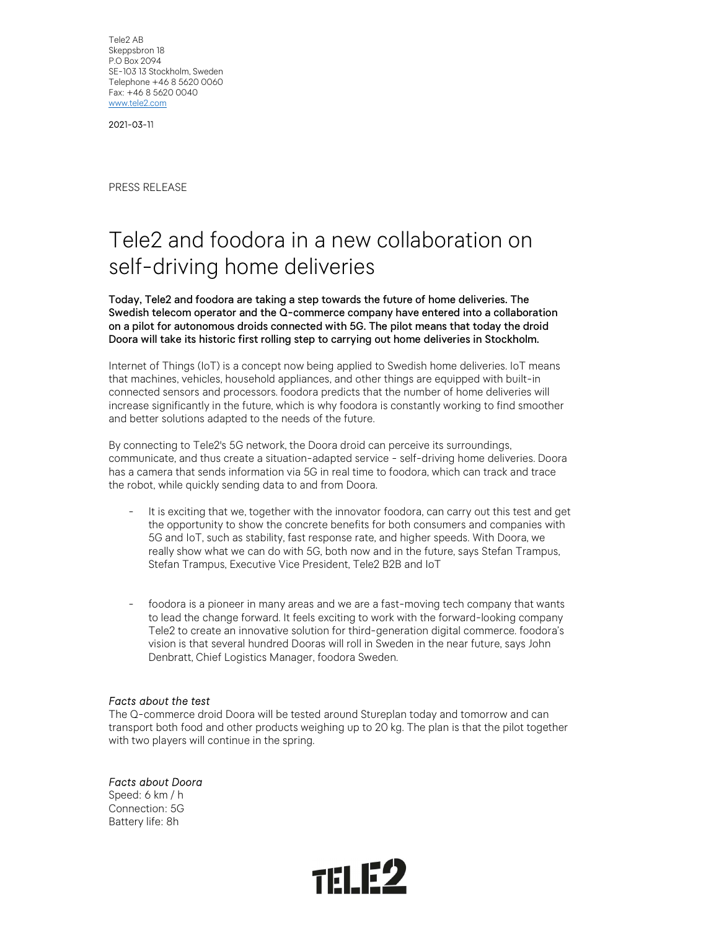Tele2 AB Skeppsbron 18 P.O Box 2094 SE-103 13 Stockholm, Sweden Telephone +46 8 5620 0060 Fax: +46 8 5620 0040 www.tele2.com

2021-03-11

PRESS RELEASE

# Tele2 and foodora in a new collaboration on self-driving home deliveries

Today, Tele2 and foodora are taking a step towards the future of home deliveries. The Swedish telecom operator and the Q-commerce company have entered into a collaboration on a pilot for autonomous droids connected with 5G. The pilot means that today the droid Doora will take its historic first rolling step to carrying out home deliveries in Stockholm.

Internet of Things (IoT) is a concept now being applied to Swedish home deliveries. IoT means that machines, vehicles, household appliances, and other things are equipped with built-in connected sensors and processors. foodora predicts that the number of home deliveries will increase significantly in the future, which is why foodora is constantly working to find smoother and better solutions adapted to the needs of the future.

By connecting to Tele2's 5G network, the Doora droid can perceive its surroundings, communicate, and thus create a situation-adapted service - self-driving home deliveries. Doora has a camera that sends information via 5G in real time to foodora, which can track and trace the robot, while quickly sending data to and from Doora.<br>- It is exciting that we, together with the innovator foodora, can carry out this test and get

- the opportunity to show the concrete benefits for both consumers and companies with 5G and IoT, such as stability, fast response rate, and higher speeds. With Doora, we really show what we can do with 5G, both now and in the future, says Stefan Trampus, Stefan Trampus, Executive Vice President, Tele2 B2B and IoT<br>- foodora is a pioneer in many areas and we are a fast-moving tech company that wants
- to lead the change forward. It feels exciting to work with the forward-looking company Tele2 to create an innovative solution for third-generation digital commerce. foodora's vision is that several hundred Dooras will roll in Sweden in the near future, says John Denbratt, Chief Logistics Manager, foodora Sweden.

#### Facts about the test

The Q-commerce droid Doora will be tested around Stureplan today and tomorrow and can transport both food and other products weighing up to 20 kg. The plan is that the pilot together with two players will continue in the spring.

Facts about Doora

Speed: 6 km / h Connection: 5G Battery life: 8h